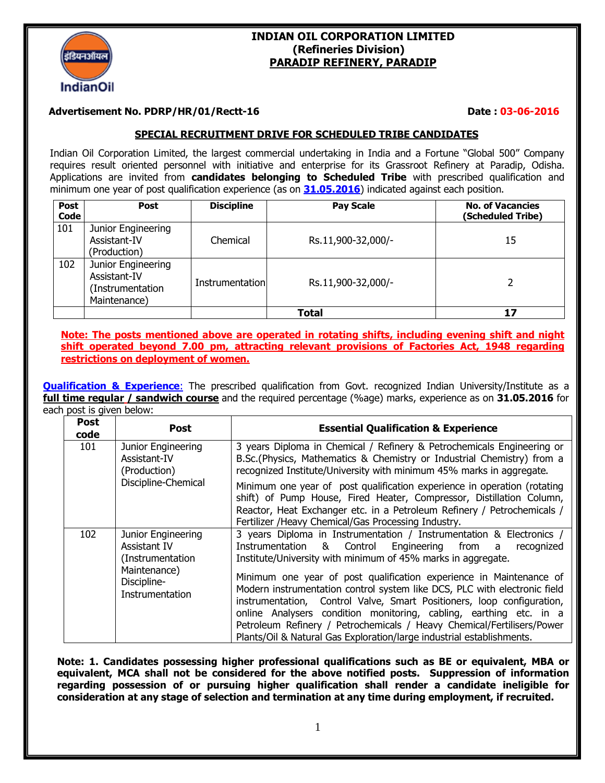

# **INDIAN OIL CORPORATION LIMITED (Refineries Division) PARADIP REFINERY, PARADIP**

### **Advertisement No. PDRP/HR/01/Rectt-16 2006 2016** Date : 03-06-2016

## **SPECIAL RECRUITMENT DRIVE FOR SCHEDULED TRIBE CANDIDATES**

Indian Oil Corporation Limited, the largest commercial undertaking in India and a Fortune "Global 500" Company requires result oriented personnel with initiative and enterprise for its Grassroot Refinery at Paradip, Odisha. Applications are invited from **candidates belonging to Scheduled Tribe** with prescribed qualification and minimum one year of post qualification experience (as on **31.05.2016**) indicated against each position.

| <b>Post</b><br><b>Code</b> | Post                                                                   | <b>Discipline</b> | <b>Pay Scale</b>   | <b>No. of Vacancies</b><br>(Scheduled Tribe) |
|----------------------------|------------------------------------------------------------------------|-------------------|--------------------|----------------------------------------------|
| 101                        | Junior Engineering<br>Assistant-IV<br>(Production)                     | Chemical          | Rs.11,900-32,000/- | 15                                           |
| 102                        | Junior Engineering<br>Assistant-IV<br>(Instrumentation<br>Maintenance) | Instrumentation   | Rs.11,900-32,000/- |                                              |
|                            |                                                                        |                   | Total              | 17                                           |

**Note: The posts mentioned above are operated in rotating shifts, including evening shift and night shift operated beyond 7.00 pm, attracting relevant provisions of Factories Act, 1948 regarding restrictions on deployment of women.**

**Qualification & Experience**: The prescribed qualification from Govt. recognized Indian University/Institute as a **full time regular / sandwich course** and the required percentage (%age) marks, experience as on **31.05.2016** for each post is given below:

| <b>Post</b><br>code                                                                                                                                                                                                                                                                    | <b>Post</b>                                    | <b>Essential Qualification &amp; Experience</b>                                                                                                                                                                                                                                                                                                                                                                                                     |  |  |
|----------------------------------------------------------------------------------------------------------------------------------------------------------------------------------------------------------------------------------------------------------------------------------------|------------------------------------------------|-----------------------------------------------------------------------------------------------------------------------------------------------------------------------------------------------------------------------------------------------------------------------------------------------------------------------------------------------------------------------------------------------------------------------------------------------------|--|--|
| 3 years Diploma in Chemical / Refinery & Petrochemicals Engineering or<br>101<br>Junior Engineering<br>B.Sc. (Physics, Mathematics & Chemistry or Industrial Chemistry) from a<br>Assistant-IV<br>recognized Institute/University with minimum 45% marks in aggregate.<br>(Production) |                                                |                                                                                                                                                                                                                                                                                                                                                                                                                                                     |  |  |
|                                                                                                                                                                                                                                                                                        | Discipline-Chemical                            | Minimum one year of post qualification experience in operation (rotating<br>shift) of Pump House, Fired Heater, Compressor, Distillation Column,<br>Reactor, Heat Exchanger etc. in a Petroleum Refinery / Petrochemicals /<br>Fertilizer /Heavy Chemical/Gas Processing Industry.                                                                                                                                                                  |  |  |
| 102<br>Junior Engineering<br>Assistant IV<br>(Instrumentation)                                                                                                                                                                                                                         |                                                | 3 years Diploma in Instrumentation / Instrumentation & Electronics /<br>Instrumentation & Control Engineering from a<br>recognized<br>Institute/University with minimum of 45% marks in aggregate.                                                                                                                                                                                                                                                  |  |  |
|                                                                                                                                                                                                                                                                                        | Maintenance)<br>Discipline-<br>Instrumentation | Minimum one year of post qualification experience in Maintenance of<br>Modern instrumentation control system like DCS, PLC with electronic field<br>instrumentation, Control Valve, Smart Positioners, loop configuration,<br>online Analysers condition monitoring, cabling, earthing etc. in a<br>Petroleum Refinery / Petrochemicals / Heavy Chemical/Fertilisers/Power<br>Plants/Oil & Natural Gas Exploration/large industrial establishments. |  |  |

**Note: 1. Candidates possessing higher professional qualifications such as BE or equivalent, MBA or equivalent, MCA shall not be considered for the above notified posts. Suppression of information regarding possession of or pursuing higher qualification shall render a candidate ineligible for consideration at any stage of selection and termination at any time during employment, if recruited.**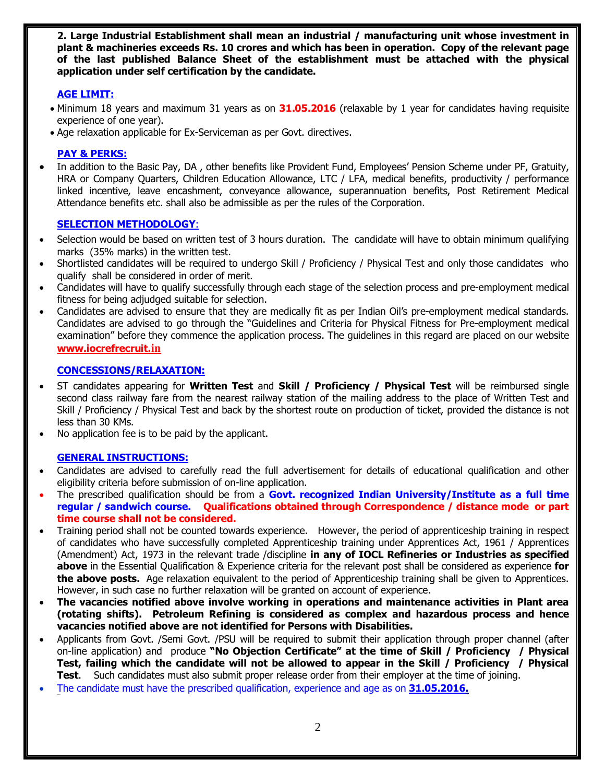**2. Large Industrial Establishment shall mean an industrial / manufacturing unit whose investment in plant & machineries exceeds Rs. 10 crores and which has been in operation. Copy of the relevant page of the last published Balance Sheet of the establishment must be attached with the physical application under self certification by the candidate.** 

# **AGE LIMIT:**

- · Minimum 18 years and maximum 31 years as on **31.05.2016** (relaxable by 1 year for candidates having requisite experience of one year).
- · Age relaxation applicable for Ex-Serviceman as per Govt. directives.

## **PAY & PERKS:**

In addition to the Basic Pay, DA, other benefits like Provident Fund, Employees' Pension Scheme under PF, Gratuity, HRA or Company Quarters, Children Education Allowance, LTC / LFA, medical benefits, productivity / performance linked incentive, leave encashment, conveyance allowance, superannuation benefits, Post Retirement Medical Attendance benefits etc. shall also be admissible as per the rules of the Corporation.

### **SELECTION METHODOLOGY**:

- Selection would be based on written test of 3 hours duration. The candidate will have to obtain minimum qualifying marks (35% marks) in the written test.
- · Shortlisted candidates will be required to undergo Skill / Proficiency / Physical Test and only those candidates who qualify shall be considered in order of merit.
- · Candidates will have to qualify successfully through each stage of the selection process and pre-employment medical fitness for being adjudged suitable for selection.
- · Candidates are advised to ensure that they are medically fit as per Indian Oil's pre-employment medical standards. Candidates are advised to go through the "Guidelines and Criteria for Physical Fitness for Pre-employment medical examination" before they commence the application process. The guidelines in this regard are placed on our website **www.iocrefrecruit.in**

# **CONCESSIONS/RELAXATION:**

- · ST candidates appearing for **Written Test** and **Skill / Proficiency / Physical Test** will be reimbursed single second class railway fare from the nearest railway station of the mailing address to the place of Written Test and Skill / Proficiency / Physical Test and back by the shortest route on production of ticket, provided the distance is not less than 30 KMs.
- No application fee is to be paid by the applicant.

# **GENERAL INSTRUCTIONS:**

- · Candidates are advised to carefully read the full advertisement for details of educational qualification and other eligibility criteria before submission of on-line application.
- · The prescribed qualification should be from a **Govt. recognized Indian University/Institute as a full time regular / sandwich course. Qualifications obtained through Correspondence / distance mode or part time course shall not be considered.**
- · Training period shall not be counted towards experience. However, the period of apprenticeship training in respect of candidates who have successfully completed Apprenticeship training under Apprentices Act, 1961 / Apprentices (Amendment) Act, 1973 in the relevant trade /discipline **in any of IOCL Refineries or Industries as specified above** in the Essential Qualification & Experience criteria for the relevant post shall be considered as experience **for the above posts.** Age relaxation equivalent to the period of Apprenticeship training shall be given to Apprentices. However, in such case no further relaxation will be granted on account of experience.
- · **The vacancies notified above involve working in operations and maintenance activities in Plant area (rotating shifts). Petroleum Refining is considered as complex and hazardous process and hence vacancies notified above are not identified for Persons with Disabilities.**
- · Applicants from Govt. /Semi Govt. /PSU will be required to submit their application through proper channel (after on-line application) and produce **"No Objection Certificate" at the time of Skill / Proficiency / Physical Test, failing which the candidate will not be allowed to appear in the Skill / Proficiency / Physical Test**. Such candidates must also submit proper release order from their employer at the time of joining.
- The candidate must have the prescribed qualification, experience and age as on **31.05.2016.**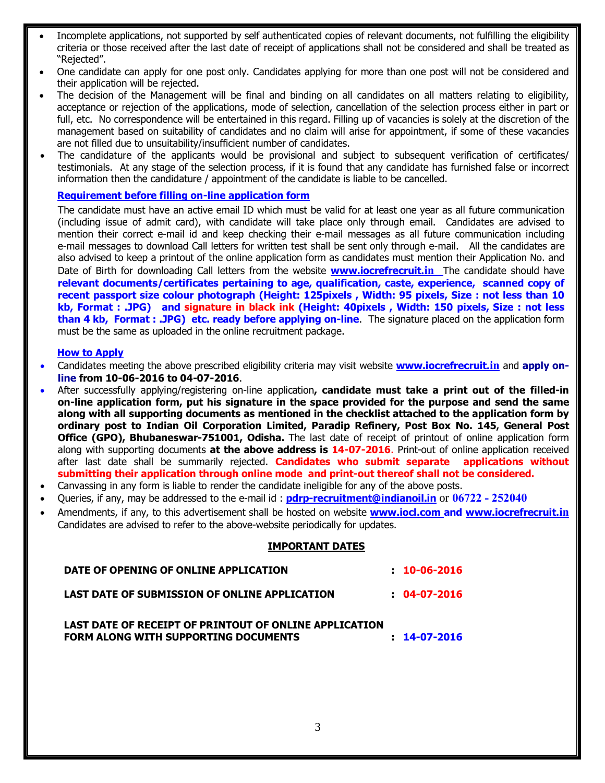- Incomplete applications, not supported by self authenticated copies of relevant documents, not fulfilling the eligibility criteria or those received after the last date of receipt of applications shall not be considered and shall be treated as "Rejected".
- · One candidate can apply for one post only. Candidates applying for more than one post will not be considered and their application will be rejected.
- · The decision of the Management will be final and binding on all candidates on all matters relating to eligibility, acceptance or rejection of the applications, mode of selection, cancellation of the selection process either in part or full, etc. No correspondence will be entertained in this regard. Filling up of vacancies is solely at the discretion of the management based on suitability of candidates and no claim will arise for appointment, if some of these vacancies are not filled due to unsuitability/insufficient number of candidates.
- The candidature of the applicants would be provisional and subject to subsequent verification of certificates/ testimonials. At any stage of the selection process, if it is found that any candidate has furnished false or incorrect information then the candidature / appointment of the candidate is liable to be cancelled.

### **Requirement before filling on-line application form**

The candidate must have an active email ID which must be valid for at least one year as all future communication (including issue of admit card), with candidate will take place only through email. Candidates are advised to mention their correct e-mail id and keep checking their e-mail messages as all future communication including e-mail messages to download Call letters for written test shall be sent only through e-mail. All the candidates are also advised to keep a printout of the online application form as candidates must mention their Application No. and Date of Birth for downloading Call letters from the website **www.iocrefrecruit.in** The candidate should have **relevant documents/certificates pertaining to age, qualification, caste, experience, scanned copy of recent passport size colour photograph (Height: 125pixels , Width: 95 pixels, Size : not less than 10 kb, Format : .JPG) and signature in black ink (Height: 40pixels , Width: 150 pixels, Size : not less than 4 kb, Format : .JPG) etc. ready before applying on-line**. The signature placed on the application form must be the same as uploaded in the online recruitment package.

#### **How to Apply**

- · Candidates meeting the above prescribed eligibility criteria may visit website **www.iocrefrecruit.in** and **apply online from 10-06-2016 to 04-07-2016**.
- · After successfully applying/registering on-line application**, candidate must take a print out of the filled-in on-line application form, put his signature in the space provided for the purpose and send the same along with all supporting documents as mentioned in the checklist attached to the application form by ordinary post to Indian Oil Corporation Limited, Paradip Refinery, Post Box No. 145, General Post Office (GPO), Bhubaneswar-751001, Odisha.** The last date of receipt of printout of online application form along with supporting documents **at the above address is 14-07-2016**. Print-out of online application received after last date shall be summarily rejected. **Candidates who submit separate applications without submitting their application through online mode and print-out thereof shall not be considered.**
- Canvassing in any form is liable to render the candidate ineligible for any of the above posts.
- · Queries, if any, may be addressed to the e-mail id : **pdrp-recruitment@indianoil.in** or **06722 - 252040**
- · Amendments, if any, to this advertisement shall be hosted on website **www.iocl.com and www.iocrefrecruit.in** Candidates are advised to refer to the above-website periodically for updates.

#### **IMPORTANT DATES**

| DATE OF OPENING OF ONLINE APPLICATION                                                          | $: 10 - 06 - 2016$ |
|------------------------------------------------------------------------------------------------|--------------------|
| LAST DATE OF SUBMISSION OF ONLINE APPLICATION                                                  | $: 04-07-2016$     |
| LAST DATE OF RECEIPT OF PRINTOUT OF ONLINE APPLICATION<br>FORM ALONG WITH SUPPORTING DOCUMENTS | $: 14-07-2016$     |